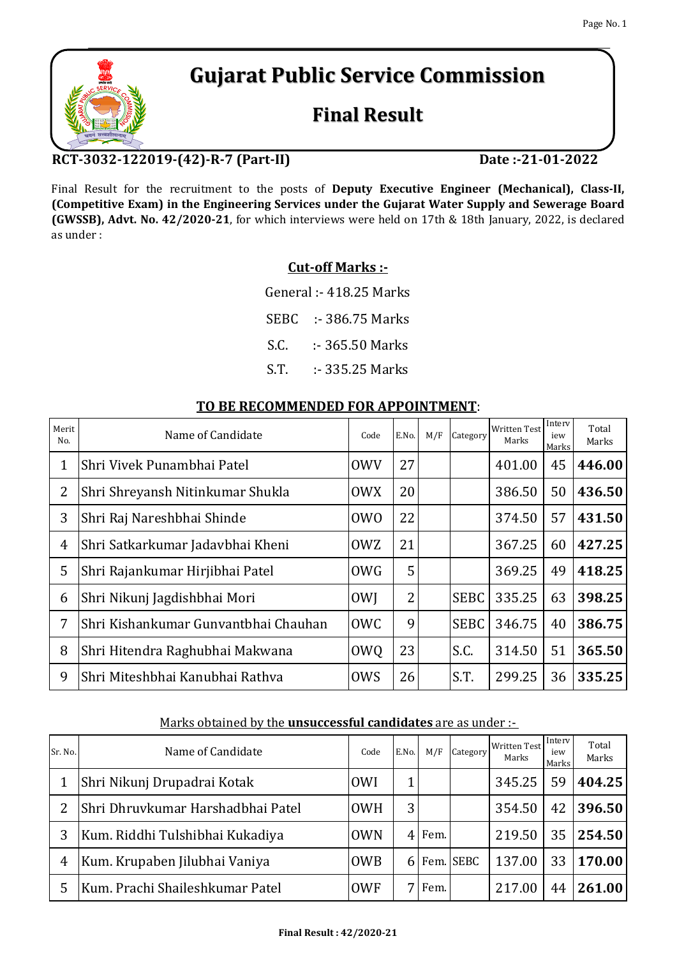# **Gujarat Public Service Commission**

# **Final Result**

## **RCT-3032-122019-(42)-R-7 (Part-II)**

Final Result for the recruitment to the posts of **Deputy Executive Engineer (Mechanical), Class-II, (Competitive Exam) in the Engineering Services under the Gujarat Water Supply and Sewerage Board (GWSSB), Advt. No. 42/2020-21**, for which interviews were held on 17th & 18th January, 2022, is declared as under :

### **Cut-off Marks :-**

General :- 418.25 Marks

SEBC :- 386.75 Marks

- S.C. :- 365.50 Marks
- S.T. :- 335.25 Marks

| Merit<br>N <sub>0</sub> | Name of Candidate                    | Code             | E.No. | M/F | Category    | <b>Written Test</b><br>Marks | Interv<br>iew<br>Marks | Total<br>Marks |
|-------------------------|--------------------------------------|------------------|-------|-----|-------------|------------------------------|------------------------|----------------|
| $\mathbf{1}$            | Shri Vivek Punambhai Patel           | <b>OWV</b>       | 27    |     |             | 401.00                       | 45                     | 446.00         |
| 2                       | Shri Shreyansh Nitinkumar Shukla     | <b>OWX</b>       | 20    |     |             | 386.50                       | 50                     | 436.50         |
| 3                       | Shri Raj Nareshbhai Shinde           | 0 <sub>W</sub> O | 22    |     |             | 374.50                       | 57                     | 431.50         |
| 4                       | Shri Satkarkumar Jadavbhai Kheni     | <b>OWZ</b>       | 21    |     |             | 367.25                       | 60                     | 427.25         |
| 5                       | Shri Rajankumar Hirjibhai Patel      | <b>OWG</b>       | 5     |     |             | 369.25                       | 49                     | 418.25         |
| 6                       | Shri Nikunj Jagdishbhai Mori         | <b>OWI</b>       | 2     |     | <b>SEBC</b> | 335.25                       | 63                     | 398.25         |
| 7                       | Shri Kishankumar Gunvantbhai Chauhan | <b>OWC</b>       | 9     |     | <b>SEBC</b> | 346.75                       | 40                     | 386.75         |
| 8                       | Shri Hitendra Raghubhai Makwana      | <b>OWQ</b>       | 23    |     | S.C.        | 314.50                       | 51                     | 365.50         |
| 9                       | Shri Miteshbhai Kanubhai Rathva      | <b>OWS</b>       | 26    |     | S.T.        | 299.25                       | 36                     | 335.25         |

#### **TO BE RECOMMENDED FOR APPOINTMENT**:

#### Marks obtained by the **unsuccessful candidates** are as under :-

| Sr. No.        | Name of Candidate                 | Code       | E.No. | M/F  | Category  | <b>Written Test</b><br>Marks | Interv<br>iew<br>Marks | Total<br>Marks |
|----------------|-----------------------------------|------------|-------|------|-----------|------------------------------|------------------------|----------------|
|                | Shri Nikunj Drupadrai Kotak       | <b>OWI</b> |       |      |           | 345.25                       | 59                     | 404.25         |
| $\overline{2}$ | Shri Dhruvkumar Harshadbhai Patel | <b>OWH</b> | 3     |      |           | 354.50                       | 42                     | 396.50         |
| 3              | Kum. Riddhi Tulshibhai Kukadiya   | <b>OWN</b> | 4     | Fem. |           | 219.50                       | 35                     | 254.50         |
| 4              | Kum. Krupaben Jilubhai Vaniya     | <b>OWB</b> | 61    |      | Fem. SEBC | 137.00                       | 33                     | 170.00         |
|                | Kum. Prachi Shaileshkumar Patel   | <b>OWF</b> |       | Fem. |           | 217.00                       | 44                     | 261.00         |



### **Date :-21-01-2022**